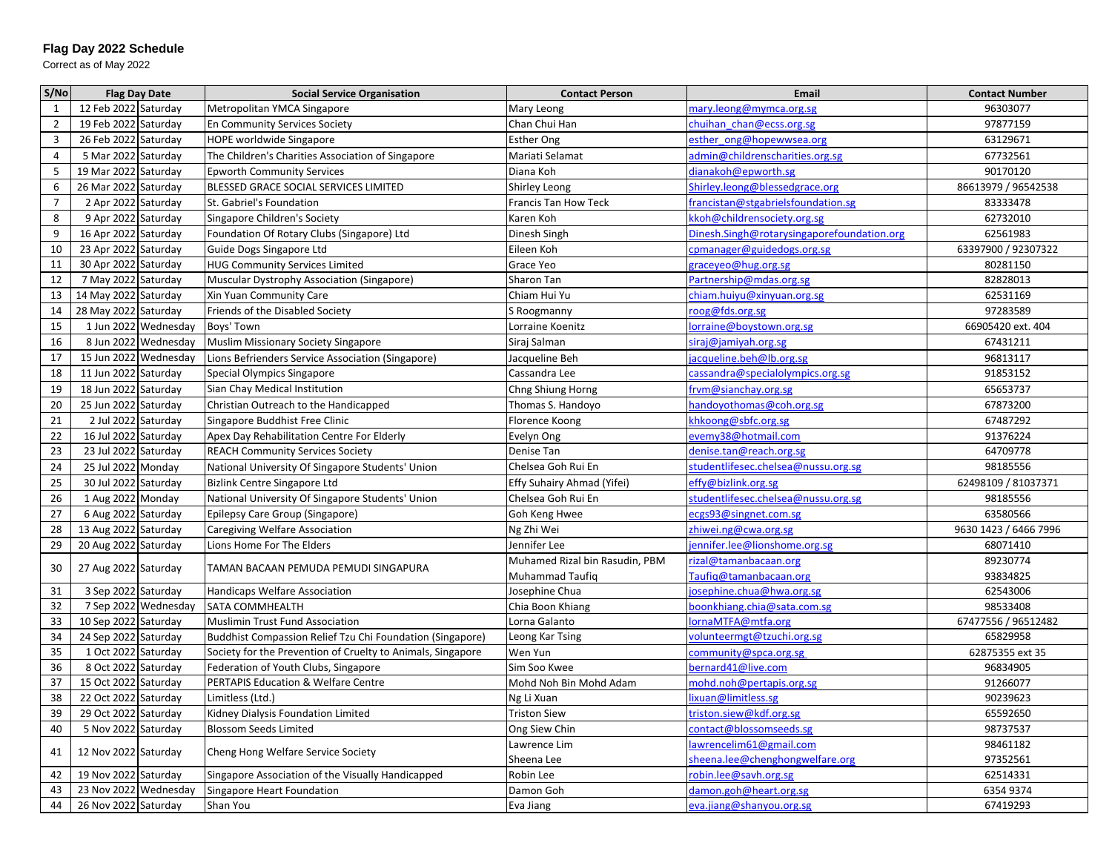## **Flag Day 2022 Schedule**

Correct as of May 2022

| S/No           | <b>Flag Day Date</b>  |                      | <b>Social Service Organisation</b>                          | <b>Contact Person</b>          | Email                                      | <b>Contact Number</b> |
|----------------|-----------------------|----------------------|-------------------------------------------------------------|--------------------------------|--------------------------------------------|-----------------------|
| $\mathbf{1}$   | 12 Feb 2022 Saturday  |                      | Metropolitan YMCA Singapore                                 | Mary Leong                     | mary.leong@mymca.org.sg                    | 96303077              |
| $\overline{2}$ | 19 Feb 2022 Saturday  |                      | En Community Services Society                               | Chan Chui Han                  | chuihan chan@ecss.org.sg                   | 97877159              |
| $\overline{3}$ | 26 Feb 2022 Saturday  |                      | <b>HOPE worldwide Singapore</b>                             | <b>Esther Ong</b>              | esther ong@hopewwsea.org                   | 63129671              |
| $\overline{4}$ | 5 Mar 2022 Saturday   |                      | The Children's Charities Association of Singapore           | Mariati Selamat                | admin@childrenscharities.org.sg            | 67732561              |
| 5              | 19 Mar 2022 Saturday  |                      | <b>Epworth Community Services</b>                           | Diana Koh                      | dianakoh@epworth.sg                        | 90170120              |
| 6              | 26 Mar 2022 Saturday  |                      | BLESSED GRACE SOCIAL SERVICES LIMITED                       | Shirley Leong                  | Shirley.leong@blessedgrace.org             | 86613979 / 96542538   |
| $\overline{7}$ | 2 Apr 2022 Saturday   |                      | St. Gabriel's Foundation                                    | Francis Tan How Teck           | francistan@stgabrielsfoundation.sg         | 83333478              |
| 8              | 9 Apr 2022 Saturday   |                      | Singapore Children's Society                                | Karen Koh                      | kkoh@childrensociety.org.sg                | 62732010              |
| 9              | 16 Apr 2022 Saturday  |                      | Foundation Of Rotary Clubs (Singapore) Ltd                  | Dinesh Singh                   | Dinesh.Singh@rotarysingaporefoundation.org | 62561983              |
| 10             | 23 Apr 2022 Saturday  |                      | Guide Dogs Singapore Ltd                                    | Eileen Koh                     | cpmanager@guidedogs.org.sg                 | 63397900 / 92307322   |
| 11             | 30 Apr 2022 Saturday  |                      | <b>HUG Community Services Limited</b>                       | Grace Yeo                      | graceyeo@hug.org.sg                        | 80281150              |
| 12             | 7 May 2022 Saturday   |                      | Muscular Dystrophy Association (Singapore)                  | Sharon Tan                     | Partnership@mdas.org.sg                    | 82828013              |
| 13             | 14 May 2022 Saturday  |                      | Xin Yuan Community Care                                     | Chiam Hui Yu                   | chiam.huiyu@xinyuan.org.sg                 | 62531169              |
| 14             | 28 May 2022 Saturday  |                      | Friends of the Disabled Society                             | S Roogmanny                    | roog@fds.org.sg                            | 97283589              |
| 15             |                       | 1 Jun 2022 Wednesday | Boys' Town                                                  | Lorraine Koenitz               | lorraine@boystown.org.sg                   | 66905420 ext. 404     |
| 16             |                       | 8 Jun 2022 Wednesday | <b>Muslim Missionary Society Singapore</b>                  | Siraj Salman                   | siraj@jamiyah.org.sg                       | 67431211              |
| 17             | 15 Jun 2022 Wednesday |                      | Lions Befrienders Service Association (Singapore)           | Jacqueline Beh                 | acqueline.beh@lb.org.sg                    | 96813117              |
| 18             | 11 Jun 2022 Saturday  |                      | Special Olympics Singapore                                  | Cassandra Lee                  | cassandra@specialolympics.org.sg           | 91853152              |
| 19             | 18 Jun 2022 Saturday  |                      | Sian Chay Medical Institution                               | Chng Shiung Horng              | frvm@sianchay.org.sg                       | 65653737              |
| 20             | 25 Jun 2022 Saturday  |                      | Christian Outreach to the Handicapped                       | Thomas S. Handoyo              | nandoyothomas@coh.org.sg                   | 67873200              |
| 21             | 2 Jul 2022 Saturday   |                      | Singapore Buddhist Free Clinic                              | Florence Koong                 | khkoong@sbfc.org.sg                        | 67487292              |
| 22             | 16 Jul 2022 Saturday  |                      | Apex Day Rehabilitation Centre For Elderly                  | Evelyn Ong                     | evemy38@hotmail.com                        | 91376224              |
| 23             | 23 Jul 2022 Saturday  |                      | <b>REACH Community Services Society</b>                     | Denise Tan                     | denise.tan@reach.org.sg                    | 64709778              |
| 24             | 25 Jul 2022 Monday    |                      | National University Of Singapore Students' Union            | Chelsea Goh Rui En             | studentlifesec.chelsea@nussu.org.sg        | 98185556              |
| 25             | 30 Jul 2022 Saturday  |                      | <b>Bizlink Centre Singapore Ltd</b>                         | Effy Suhairy Ahmad (Yifei)     | effy@bizlink.org.sg                        | 62498109 / 81037371   |
| 26             | 1 Aug 2022 Monday     |                      | National University Of Singapore Students' Union            | Chelsea Goh Rui En             | studentlifesec.chelsea@nussu.org.sg        | 98185556              |
| 27             | 6 Aug 2022 Saturday   |                      | Epilepsy Care Group (Singapore)                             | Goh Keng Hwee                  | ecgs93@singnet.com.sg                      | 63580566              |
| 28             | 13 Aug 2022 Saturday  |                      | Caregiving Welfare Association                              | Ng Zhi Wei                     | zhiwei.ng@cwa.org.sg                       | 9630 1423 / 6466 7996 |
| 29             | 20 Aug 2022 Saturday  |                      | Lions Home For The Elders                                   | Jennifer Lee                   | jennifer.lee@lionshome.org.sg              | 68071410              |
| 30             | 27 Aug 2022 Saturday  |                      | TAMAN BACAAN PEMUDA PEMUDI SINGAPURA                        | Muhamed Rizal bin Rasudin, PBM | rizal@tamanbacaan.org                      | 89230774              |
|                |                       |                      |                                                             | <b>Muhammad Taufig</b>         | Taufig@tamanbacaan.org                     | 93834825              |
| 31             | 3 Sep 2022 Saturday   |                      | Handicaps Welfare Association                               | Josephine Chua                 | osephine.chua@hwa.org.sg                   | 62543006              |
| 32             |                       | 7 Sep 2022 Wednesday | SATA COMMHEALTH                                             | Chia Boon Khiang               | boonkhiang.chia@sata.com.sg                | 98533408              |
| 33             | 10 Sep 2022 Saturday  |                      | Muslimin Trust Fund Association                             | Lorna Galanto                  | lornaMTFA@mtfa.org                         | 67477556 / 96512482   |
| 34             | 24 Sep 2022 Saturday  |                      | Buddhist Compassion Relief Tzu Chi Foundation (Singapore)   | Leong Kar Tsing                | volunteermgt@tzuchi.org.sg                 | 65829958              |
| 35             | 1 Oct 2022 Saturday   |                      | Society for the Prevention of Cruelty to Animals, Singapore | Wen Yun                        | community@spca.org.sg                      | 62875355 ext 35       |
| 36             | 8 Oct 2022 Saturday   |                      | Federation of Youth Clubs, Singapore                        | Sim Soo Kwee                   | bernard41@live.com                         | 96834905              |
| 37             | 15 Oct 2022 Saturday  |                      | PERTAPIS Education & Welfare Centre                         | Mohd Noh Bin Mohd Adam         | mohd.noh@pertapis.org.sg                   | 91266077              |
| 38             | 22 Oct 2022 Saturday  |                      | Limitless (Ltd.)                                            | Ng Li Xuan                     | ixuan@limitless.sg                         | 90239623              |
| 39             | 29 Oct 2022 Saturday  |                      | Kidney Dialysis Foundation Limited                          | <b>Triston Siew</b>            | triston.siew@kdf.org.sg                    | 65592650              |
| 40             | 5 Nov 2022 Saturday   |                      | <b>Blossom Seeds Limited</b>                                | Ong Siew Chin                  | contact@blossomseeds.sg                    | 98737537              |
| 41             | 12 Nov 2022 Saturday  |                      | Cheng Hong Welfare Service Society                          | Lawrence Lim                   | lawrencelim61@gmail.com                    | 98461182              |
|                |                       |                      |                                                             | Sheena Lee                     | sheena.lee@chenghongwelfare.org            | 97352561              |
| 42             | 19 Nov 2022 Saturday  |                      | Singapore Association of the Visually Handicapped           | Robin Lee                      | robin.lee@savh.org.sg                      | 62514331              |
| 43             | 23 Nov 2022 Wednesday |                      | Singapore Heart Foundation                                  | Damon Goh                      | damon.goh@heart.org.sg                     | 6354 9374             |
| 44             | 26 Nov 2022 Saturday  |                      | Shan You                                                    | Eva Jiang                      | eva.jiang@shanyou.org.sg                   | 67419293              |